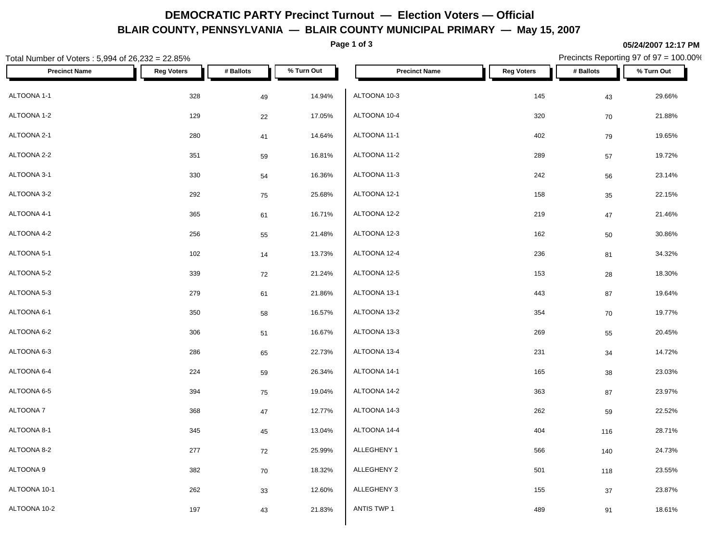# **DEMOCRATIC PARTY Precinct Turnout — Election Voters — Official BLAIR COUNTY, PENNSYLVANIA — BLAIR COUNTY MUNICIPAL PRIMARY — May 15, 2007**

**Page 1 of 3**

#### **05/24/2007 12:17 PM**

| Total Number of Voters: 5,994 of 26,232 = 22.85% |                   |           |            |                      |                   |            | Precincts Reporting 97 of 97 = 100.00% |
|--------------------------------------------------|-------------------|-----------|------------|----------------------|-------------------|------------|----------------------------------------|
| <b>Precinct Name</b>                             | <b>Reg Voters</b> | # Ballots | % Turn Out | <b>Precinct Name</b> | <b>Reg Voters</b> | # Ballots  | % Turn Out                             |
| ALTOONA 1-1                                      | 328               | 49        | 14.94%     | ALTOONA 10-3         | 145               | 43         | 29.66%                                 |
| ALTOONA 1-2                                      | 129               | 22        | 17.05%     | ALTOONA 10-4         | 320               | 70         | 21.88%                                 |
| ALTOONA 2-1                                      | 280               | 41        | 14.64%     | ALTOONA 11-1         | 402               | 79         | 19.65%                                 |
| ALTOONA 2-2                                      | 351               | 59        | 16.81%     | ALTOONA 11-2         | 289               | 57         | 19.72%                                 |
| ALTOONA 3-1                                      | 330               | 54        | 16.36%     | ALTOONA 11-3         | 242               | 56         | 23.14%                                 |
| ALTOONA 3-2                                      | 292               | 75        | 25.68%     | ALTOONA 12-1         | 158               | 35         | 22.15%                                 |
| ALTOONA 4-1                                      | 365               | 61        | 16.71%     | ALTOONA 12-2         | 219               | 47         | 21.46%                                 |
| ALTOONA 4-2                                      | 256               | 55        | 21.48%     | ALTOONA 12-3         | 162               | 50         | 30.86%                                 |
| ALTOONA 5-1                                      | 102               | 14        | 13.73%     | ALTOONA 12-4         | 236               | 81         | 34.32%                                 |
| ALTOONA 5-2                                      | 339               | 72        | 21.24%     | ALTOONA 12-5         | 153               | ${\bf 28}$ | 18.30%                                 |
| ALTOONA 5-3                                      | 279               | 61        | 21.86%     | ALTOONA 13-1         | 443               | 87         | 19.64%                                 |
| ALTOONA 6-1                                      | 350               | 58        | 16.57%     | ALTOONA 13-2         | 354               | 70         | 19.77%                                 |
| ALTOONA 6-2                                      | 306               | 51        | 16.67%     | ALTOONA 13-3         | 269               | 55         | 20.45%                                 |
| ALTOONA 6-3                                      | 286               | 65        | 22.73%     | ALTOONA 13-4         | 231               | 34         | 14.72%                                 |
| ALTOONA 6-4                                      | 224               | 59        | 26.34%     | ALTOONA 14-1         | 165               | 38         | 23.03%                                 |
| ALTOONA 6-5                                      | 394               | 75        | 19.04%     | ALTOONA 14-2         | 363               | 87         | 23.97%                                 |
| ALTOONA 7                                        | 368               | 47        | 12.77%     | ALTOONA 14-3         | 262               | 59         | 22.52%                                 |
| ALTOONA 8-1                                      | 345               | 45        | 13.04%     | ALTOONA 14-4         | 404               | 116        | 28.71%                                 |
| ALTOONA 8-2                                      | 277               | 72        | 25.99%     | ALLEGHENY 1          | 566               | 140        | 24.73%                                 |
| ALTOONA 9                                        | 382               | 70        | 18.32%     | ALLEGHENY 2          | 501               | 118        | 23.55%                                 |
| ALTOONA 10-1                                     | 262               | 33        | 12.60%     | ALLEGHENY 3          | 155               | $37\,$     | 23.87%                                 |
| ALTOONA 10-2                                     | 197               | 43        | 21.83%     | ANTIS TWP 1          | 489               | 91         | 18.61%                                 |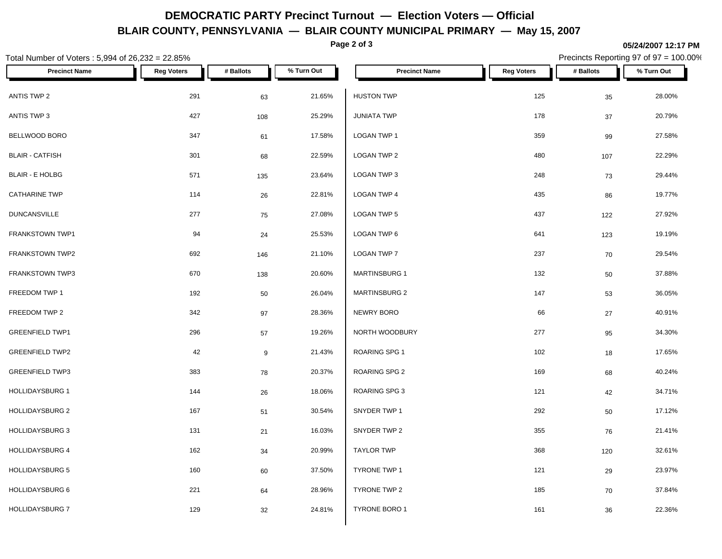## **DEMOCRATIC PARTY Precinct Turnout — Election Voters — Official BLAIR COUNTY, PENNSYLVANIA — BLAIR COUNTY MUNICIPAL PRIMARY — May 15, 2007**

**Page 2 of 3**

#### **05/24/2007 12:17 PM**

Precincts Reporting 97 of 97 = 100.00%

| Total Number of Voters : 5,994 of 26,232 = 22.85% |                   |           |            |                      |                   |           | Precincts Reporting 97 of 97 = 100.00% |
|---------------------------------------------------|-------------------|-----------|------------|----------------------|-------------------|-----------|----------------------------------------|
| <b>Precinct Name</b>                              | <b>Reg Voters</b> | # Ballots | % Turn Out | <b>Precinct Name</b> | <b>Reg Voters</b> | # Ballots | % Turn Out                             |
| ANTIS TWP 2                                       | 291               | 63        | 21.65%     | <b>HUSTON TWP</b>    | 125               | 35        | 28.00%                                 |
| ANTIS TWP 3                                       | 427               | 108       | 25.29%     | <b>JUNIATA TWP</b>   | 178               | 37        | 20.79%                                 |
| BELLWOOD BORO                                     | 347               | 61        | 17.58%     | LOGAN TWP 1          | 359               | 99        | 27.58%                                 |
| <b>BLAIR - CATFISH</b>                            | 301               | 68        | 22.59%     | LOGAN TWP 2          | 480               | 107       | 22.29%                                 |
| <b>BLAIR - E HOLBG</b>                            | 571               | 135       | 23.64%     | LOGAN TWP 3          | 248               | 73        | 29.44%                                 |
| <b>CATHARINE TWP</b>                              | 114               | 26        | 22.81%     | LOGAN TWP 4          | 435               | 86        | 19.77%                                 |
| <b>DUNCANSVILLE</b>                               | 277               | 75        | 27.08%     | <b>LOGAN TWP 5</b>   | 437               | 122       | 27.92%                                 |
| FRANKSTOWN TWP1                                   | 94                | 24        | 25.53%     | LOGAN TWP 6          | 641               | 123       | 19.19%                                 |
| FRANKSTOWN TWP2                                   | 692               | 146       | 21.10%     | LOGAN TWP 7          | 237               | 70        | 29.54%                                 |
| FRANKSTOWN TWP3                                   | 670               | 138       | 20.60%     | <b>MARTINSBURG 1</b> | 132               | 50        | 37.88%                                 |
| FREEDOM TWP 1                                     | 192               | 50        | 26.04%     | <b>MARTINSBURG 2</b> | 147               | 53        | 36.05%                                 |
| FREEDOM TWP 2                                     | 342               | 97        | 28.36%     | NEWRY BORO           | 66                | 27        | 40.91%                                 |
| <b>GREENFIELD TWP1</b>                            | 296               | 57        | 19.26%     | NORTH WOODBURY       | 277               | 95        | 34.30%                                 |
| <b>GREENFIELD TWP2</b>                            | 42                | 9         | 21.43%     | ROARING SPG 1        | 102               | 18        | 17.65%                                 |
| <b>GREENFIELD TWP3</b>                            | 383               | 78        | 20.37%     | ROARING SPG 2        | 169               | 68        | 40.24%                                 |
| <b>HOLLIDAYSBURG 1</b>                            | 144               | 26        | 18.06%     | ROARING SPG 3        | 121               | 42        | 34.71%                                 |
| <b>HOLLIDAYSBURG 2</b>                            | 167               | 51        | 30.54%     | SNYDER TWP 1         | 292               | 50        | 17.12%                                 |
| <b>HOLLIDAYSBURG 3</b>                            | 131               | 21        | 16.03%     | SNYDER TWP 2         | 355               | 76        | 21.41%                                 |
| HOLLIDAYSBURG 4                                   | 162               | 34        | 20.99%     | <b>TAYLOR TWP</b>    | 368               | 120       | 32.61%                                 |
| <b>HOLLIDAYSBURG 5</b>                            | 160               | 60        | 37.50%     | TYRONE TWP 1         | 121               | 29        | 23.97%                                 |
| <b>HOLLIDAYSBURG 6</b>                            | 221               | 64        | 28.96%     | TYRONE TWP 2         | 185               | 70        | 37.84%                                 |
| HOLLIDAYSBURG 7                                   | 129               | 32        | 24.81%     | TYRONE BORO 1        | 161               | 36        | 22.36%                                 |
|                                                   |                   |           |            |                      |                   |           |                                        |